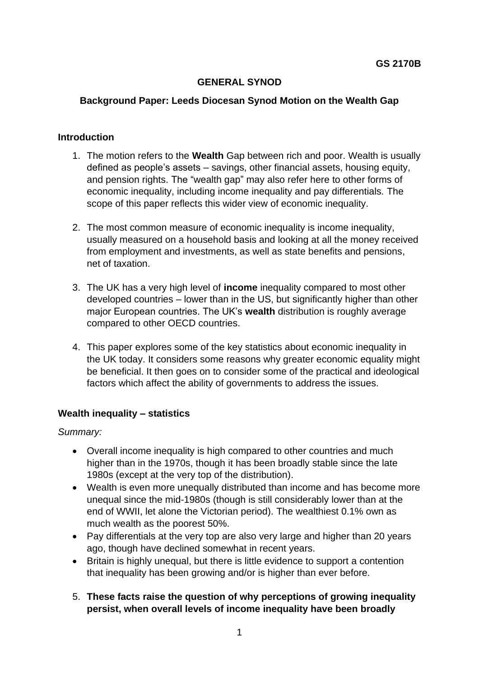# **GENERAL SYNOD**

# **Background Paper: Leeds Diocesan Synod Motion on the Wealth Gap**

### **Introduction**

- 1. The motion refers to the **Wealth** Gap between rich and poor. Wealth is usually defined as people's assets – savings, other financial assets, housing equity, and pension rights. The "wealth gap" may also refer here to other forms of economic inequality, including income inequality and pay differentials. The scope of this paper reflects this wider view of economic inequality.
- 2. The most common measure of economic inequality is income inequality, usually measured on a household basis and looking at all the money received from employment and investments, as well as state benefits and pensions, net of taxation.
- 3. The UK has a very high level of **income** inequality compared to most other developed countries – lower than in the US, but significantly higher than other major European countries. The UK's **wealth** distribution is roughly average compared to other OECD countries.
- 4. This paper explores some of the key statistics about economic inequality in the UK today. It considers some reasons why greater economic equality might be beneficial. It then goes on to consider some of the practical and ideological factors which affect the ability of governments to address the issues.

# **Wealth inequality – statistics**

*Summary:*

- Overall income inequality is high compared to other countries and much higher than in the 1970s, though it has been broadly stable since the late 1980s (except at the very top of the distribution).
- Wealth is even more unequally distributed than income and has become more unequal since the mid-1980s (though is still considerably lower than at the end of WWII, let alone the Victorian period). The wealthiest 0.1% own as much wealth as the poorest 50%.
- Pay differentials at the very top are also very large and higher than 20 years ago, though have declined somewhat in recent years.
- Britain is highly unequal, but there is little evidence to support a contention that inequality has been growing and/or is higher than ever before.
- 5. **These facts raise the question of why perceptions of growing inequality persist, when overall levels of income inequality have been broadly**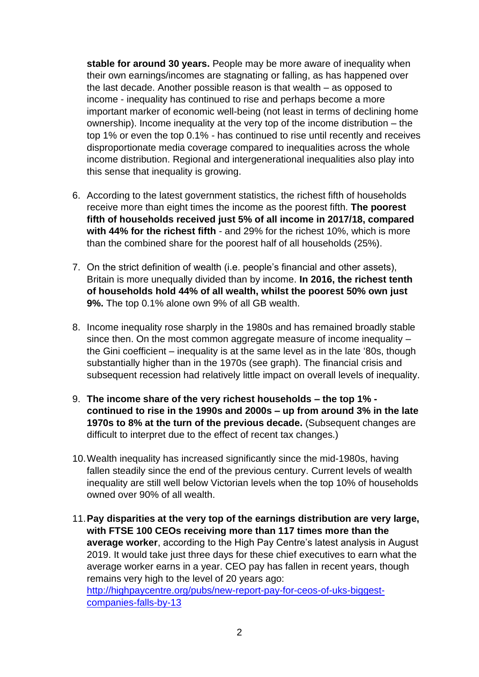**stable for around 30 years.** People may be more aware of inequality when their own earnings/incomes are stagnating or falling, as has happened over the last decade. Another possible reason is that wealth – as opposed to income - inequality has continued to rise and perhaps become a more important marker of economic well-being (not least in terms of declining home ownership). Income inequality at the very top of the income distribution – the top 1% or even the top 0.1% - has continued to rise until recently and receives disproportionate media coverage compared to inequalities across the whole income distribution. Regional and intergenerational inequalities also play into this sense that inequality is growing.

- 6. According to the latest government statistics, the richest fifth of households receive more than eight times the income as the poorest fifth. **The poorest fifth of households received just 5% of all income in 2017/18, compared with 44% for the richest fifth** - and 29% for the richest 10%, which is more than the combined share for the poorest half of all households (25%).
- 7. On the strict definition of wealth (i.e. people's financial and other assets), Britain is more unequally divided than by income. **In 2016, the richest tenth of households hold 44% of all wealth, whilst the poorest 50% own just 9%.** The top 0.1% alone own 9% of all GB wealth.
- 8. Income inequality rose sharply in the 1980s and has remained broadly stable since then. On the most common aggregate measure of income inequality – the Gini coefficient – inequality is at the same level as in the late '80s, though substantially higher than in the 1970s (see graph). The financial crisis and subsequent recession had relatively little impact on overall levels of inequality.
- 9. **The income share of the very richest households – the top 1% continued to rise in the 1990s and 2000s – up from around 3% in the late 1970s to 8% at the turn of the previous decade.** (Subsequent changes are difficult to interpret due to the effect of recent tax changes.)
- 10.Wealth inequality has increased significantly since the mid-1980s, having fallen steadily since the end of the previous century. Current levels of wealth inequality are still well below Victorian levels when the top 10% of households owned over 90% of all wealth.
- 11.**Pay disparities at the very top of the earnings distribution are very large, with FTSE 100 CEOs receiving more than 117 times more than the average worker**, according to the High Pay Centre's latest analysis in August 2019. It would take just three days for these chief executives to earn what the average worker earns in a year. CEO pay has fallen in recent years, though remains very high to the level of 20 years ago: [http://highpaycentre.org/pubs/new-report-pay-for-ceos-of-uks-biggest](http://highpaycentre.org/pubs/new-report-pay-for-ceos-of-uks-biggest-companies-falls-by-13)[companies-falls-by-13](http://highpaycentre.org/pubs/new-report-pay-for-ceos-of-uks-biggest-companies-falls-by-13)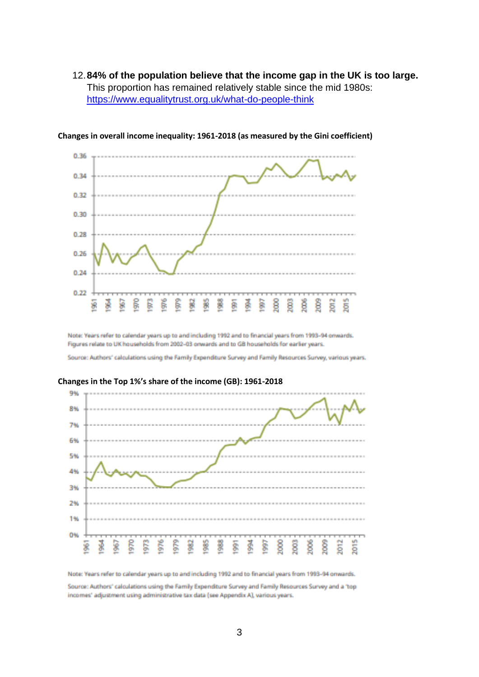12.**84% of the population believe that the income gap in the UK is too large.** This proportion has remained relatively stable since the mid 1980s: <https://www.equalitytrust.org.uk/what-do-people-think>



**Changes in overall income inequality: 1961-2018 (as measured by the Gini coefficient)**

Note: Years refer to calendar years up to and including 1992 and to financial years from 1993-94 onwards. Figures relate to UK households from 2002-03 onwards and to GB households for earlier years.

Source: Authors' calculations using the Family Expenditure Survey and Family Resources Survey, various years.



**Changes in the Top 1%'s share of the income (GB): 1961-2018**

Note: Years refer to calendar years up to and including 1992 and to financial years from 1993-94 onwards.

Source: Authors' calculations using the Family Expenditure Survey and Family Resources Survey and a 'top incomes' adjustment using administrative tax data (see Appendix A), various years.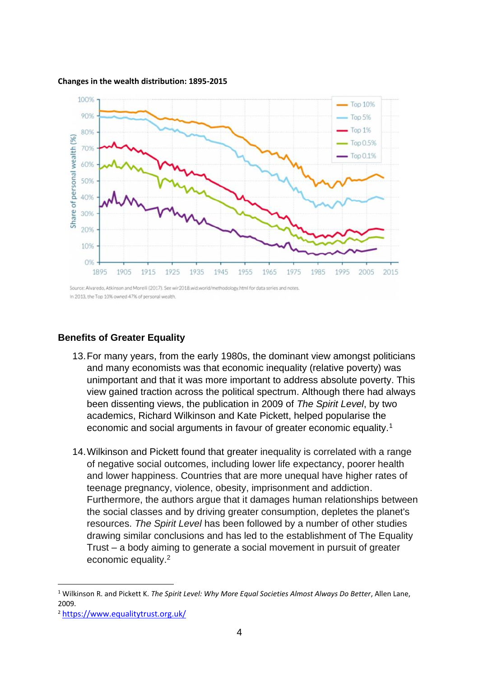

#### **Changes in the wealth distribution: 1895-2015**

Source: Alvaredo, Atkinson and Morelli (2017). See wir2018.wid.world/methodology.html for data series and notes. In 2013, the Top 10% owned 47% of personal wealth.

### **Benefits of Greater Equality**

- 13.For many years, from the early 1980s, the dominant view amongst politicians and many economists was that economic inequality (relative poverty) was unimportant and that it was more important to address absolute poverty. This view gained traction across the political spectrum. Although there had always been dissenting views, the publication in 2009 of *The Spirit Level*, by two academics, Richard Wilkinson and Kate Pickett, helped popularise the economic and social arguments in favour of greater economic equality.<sup>1</sup>
- 14.Wilkinson and Pickett found that greater inequality is correlated with a range of negative social outcomes, including lower life expectancy, poorer health and lower happiness. Countries that are more unequal have higher rates of teenage pregnancy, violence, obesity, imprisonment and addiction. Furthermore, the authors argue that it damages human relationships between the social classes and by driving greater consumption, depletes the planet's resources. *The Spirit Level* has been followed by a number of other studies drawing similar conclusions and has led to the establishment of The Equality Trust – a body aiming to generate a social movement in pursuit of greater economic equality.<sup>2</sup>

<sup>1</sup> Wilkinson R. and Pickett K. *The Spirit Level: Why More Equal Societies Almost Always Do Better*, Allen Lane, 2009.

<sup>2</sup> <https://www.equalitytrust.org.uk/>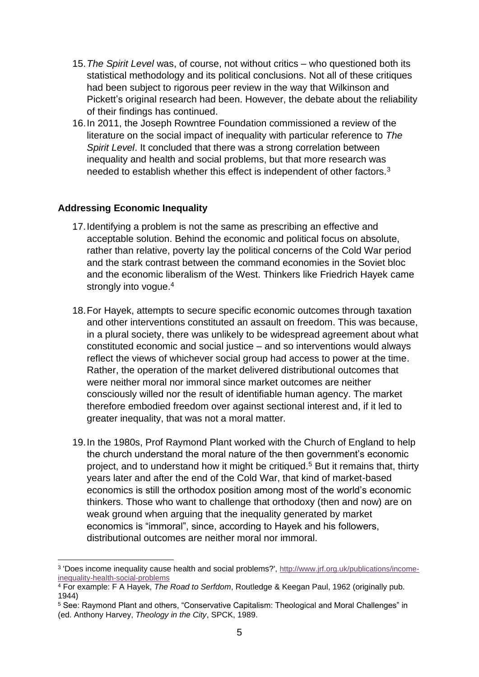- 15.*The Spirit Level* was, of course, not without critics who questioned both its statistical methodology and its political conclusions. Not all of these critiques had been subject to rigorous peer review in the way that Wilkinson and Pickett's original research had been. However, the debate about the reliability of their findings has continued.
- 16.In 2011, the Joseph Rowntree Foundation commissioned a review of the literature on the social impact of inequality with particular reference to *The Spirit Level*. It concluded that there was a strong correlation between inequality and health and social problems, but that more research was needed to establish whether this effect is independent of other factors.<sup>3</sup>

### **Addressing Economic Inequality**

- 17.Identifying a problem is not the same as prescribing an effective and acceptable solution. Behind the economic and political focus on absolute, rather than relative, poverty lay the political concerns of the Cold War period and the stark contrast between the command economies in the Soviet bloc and the economic liberalism of the West. Thinkers like Friedrich Hayek came strongly into vogue.<sup>4</sup>
- 18.For Hayek, attempts to secure specific economic outcomes through taxation and other interventions constituted an assault on freedom. This was because, in a plural society, there was unlikely to be widespread agreement about what constituted economic and social justice – and so interventions would always reflect the views of whichever social group had access to power at the time. Rather, the operation of the market delivered distributional outcomes that were neither moral nor immoral since market outcomes are neither consciously willed nor the result of identifiable human agency. The market therefore embodied freedom over against sectional interest and, if it led to greater inequality, that was not a moral matter.
- 19.In the 1980s, Prof Raymond Plant worked with the Church of England to help the church understand the moral nature of the then government's economic project, and to understand how it might be critiqued.<sup>5</sup> But it remains that, thirty years later and after the end of the Cold War, that kind of market-based economics is still the orthodox position among most of the world's economic thinkers. Those who want to challenge that orthodoxy (then and now) are on weak ground when arguing that the inequality generated by market economics is "immoral", since, according to Hayek and his followers, distributional outcomes are neither moral nor immoral.

<sup>&</sup>lt;sup>3</sup> 'Does income inequality cause health and social problems?', [http://www.jrf.org.uk/publications/income](http://www.jrf.org.uk/publications/income-inequality-health-social-problems)[inequality-health-social-problems](http://www.jrf.org.uk/publications/income-inequality-health-social-problems)

<sup>4</sup> For example: F A Hayek, *The Road to Serfdom*, Routledge & Keegan Paul, 1962 (originally pub. 1944)

<sup>5</sup> See: Raymond Plant and others, "Conservative Capitalism: Theological and Moral Challenges" in (ed. Anthony Harvey, *Theology in the City*, SPCK, 1989.